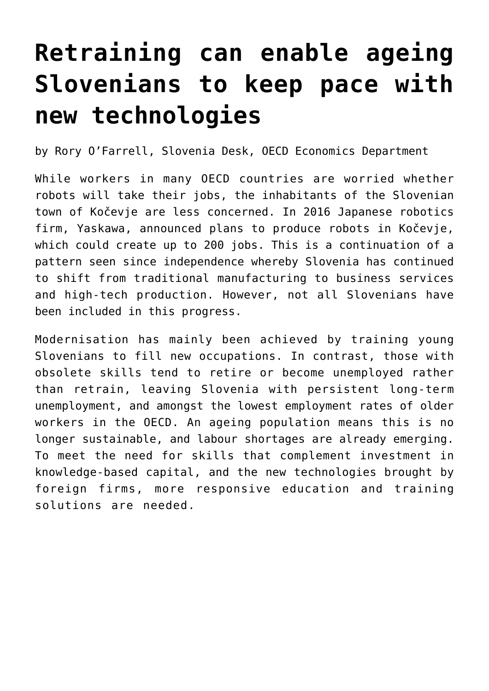## **[Retraining can enable ageing](https://oecdecoscope.blog/2017/10/19/retraining-can-enable-ageing-slovenians-to-keep-pace-with-new-technologies-2/) [Slovenians to keep pace with](https://oecdecoscope.blog/2017/10/19/retraining-can-enable-ageing-slovenians-to-keep-pace-with-new-technologies-2/) [new technologies](https://oecdecoscope.blog/2017/10/19/retraining-can-enable-ageing-slovenians-to-keep-pace-with-new-technologies-2/)**

by Rory O'Farrell, Slovenia Desk, OECD Economics Department

While workers in many OECD countries are worried whether robots will take their jobs, the inhabitants of the Slovenian town of Kočevje are less concerned. In 2016 Japanese robotics firm, Yaskawa, announced plans to produce robots in Kočevje, which could create up to 200 jobs. This is a continuation of a pattern seen since independence whereby Slovenia has continued to shift from traditional manufacturing to business services and high-tech production. However, not all Slovenians have been included in this progress.

Modernisation has mainly been achieved by training young Slovenians to fill new occupations. In contrast, those with obsolete skills tend to retire or become unemployed rather than retrain, leaving Slovenia with persistent long-term unemployment, and amongst the lowest employment rates of older workers in the OECD. An ageing population means this is no longer sustainable, and labour shortages are already emerging. To meet the need for skills that complement investment in knowledge-based capital, and the new technologies brought by foreign firms, more responsive education and training solutions are needed.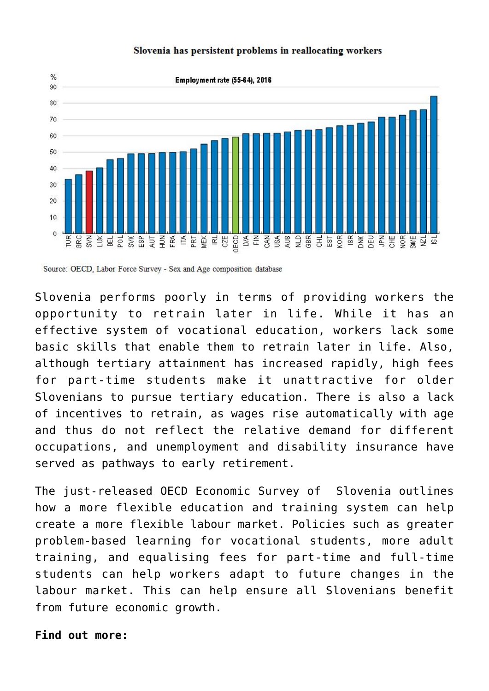

## Slovenia has persistent problems in reallocating workers

Source: OECD, Labor Force Survey - Sex and Age composition database

Slovenia performs poorly in terms of providing workers the opportunity to retrain later in life. While it has an effective system of vocational education, workers lack some basic skills that enable them to retrain later in life. Also, although tertiary attainment has increased rapidly, high fees for part-time students make it unattractive for older Slovenians to pursue tertiary education. There is also a lack of incentives to retrain, as wages rise automatically with age and thus do not reflect the relative demand for different occupations, and unemployment and disability insurance have served as pathways to early retirement.

The just-released [OECD Economic Survey of Slovenia](http://www.oecd.org/eco/surveys/economic-survey-slovenia.htm) outlines how a more flexible education and training system can help create a more flexible labour market. Policies such as greater problem-based learning for vocational students, more adult training, and equalising fees for part-time and full-time students can help workers adapt to future changes in the labour market. This can help ensure all Slovenians benefit from future economic growth.

## **Find out more:**